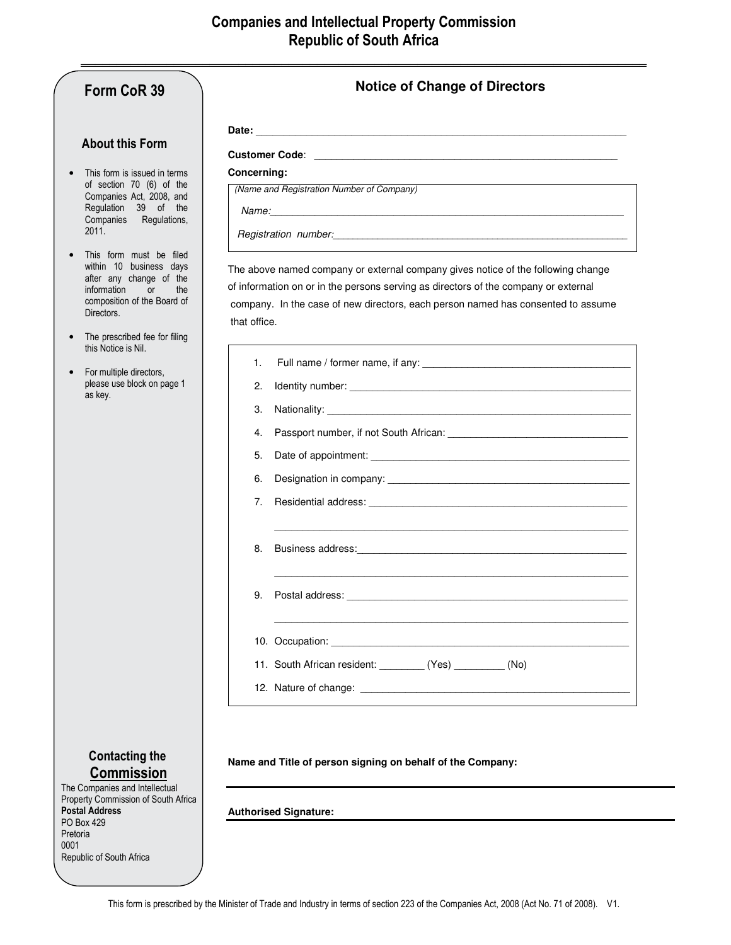| Form CoR 39                                                                                                                                     | <b>Notice of Change of Directors</b>                                                                                                                                                                                           |  |
|-------------------------------------------------------------------------------------------------------------------------------------------------|--------------------------------------------------------------------------------------------------------------------------------------------------------------------------------------------------------------------------------|--|
|                                                                                                                                                 |                                                                                                                                                                                                                                |  |
| <b>About this Form</b>                                                                                                                          |                                                                                                                                                                                                                                |  |
| This form is issued in terms<br>of section 70 (6) of the<br>Companies Act, 2008, and<br>Regulation 39 of the<br>Companies Regulations,<br>2011. | Concerning:                                                                                                                                                                                                                    |  |
|                                                                                                                                                 | (Name and Registration Number of Company)                                                                                                                                                                                      |  |
|                                                                                                                                                 |                                                                                                                                                                                                                                |  |
|                                                                                                                                                 | Registration number: experience and the contract of the contract of the contract of the contract of the contract of the contract of the contract of the contract of the contract of the contract of the contract of the contra |  |
| This form must be filed<br>within 10 business days                                                                                              | The above named company or external company gives notice of the following change                                                                                                                                               |  |
| after any change of the<br>information<br><b>or</b><br>the                                                                                      | of information on or in the persons serving as directors of the company or external                                                                                                                                            |  |
| composition of the Board of<br>Directors.                                                                                                       | company. In the case of new directors, each person named has consented to assume                                                                                                                                               |  |
|                                                                                                                                                 | that office.                                                                                                                                                                                                                   |  |
| The prescribed fee for filing<br>this Notice is Nil.                                                                                            |                                                                                                                                                                                                                                |  |
| For multiple directors,<br>please use block on page 1<br>as key.                                                                                | 1.                                                                                                                                                                                                                             |  |
|                                                                                                                                                 | 2.                                                                                                                                                                                                                             |  |
|                                                                                                                                                 | 3.                                                                                                                                                                                                                             |  |
|                                                                                                                                                 | 4.                                                                                                                                                                                                                             |  |
|                                                                                                                                                 | 5.                                                                                                                                                                                                                             |  |
|                                                                                                                                                 | 6.                                                                                                                                                                                                                             |  |
|                                                                                                                                                 | 7.                                                                                                                                                                                                                             |  |
|                                                                                                                                                 |                                                                                                                                                                                                                                |  |
|                                                                                                                                                 | 8.                                                                                                                                                                                                                             |  |
|                                                                                                                                                 |                                                                                                                                                                                                                                |  |
|                                                                                                                                                 | 9.                                                                                                                                                                                                                             |  |
|                                                                                                                                                 | 10. Occupation: Sample Advisory Management Communication of the Communication of the Communication of the Communication of the Communication of the Communication of the Communication of the Communication of the Communicati |  |
|                                                                                                                                                 | 11. South African resident: (Yes) (No)                                                                                                                                                                                         |  |
|                                                                                                                                                 |                                                                                                                                                                                                                                |  |
|                                                                                                                                                 |                                                                                                                                                                                                                                |  |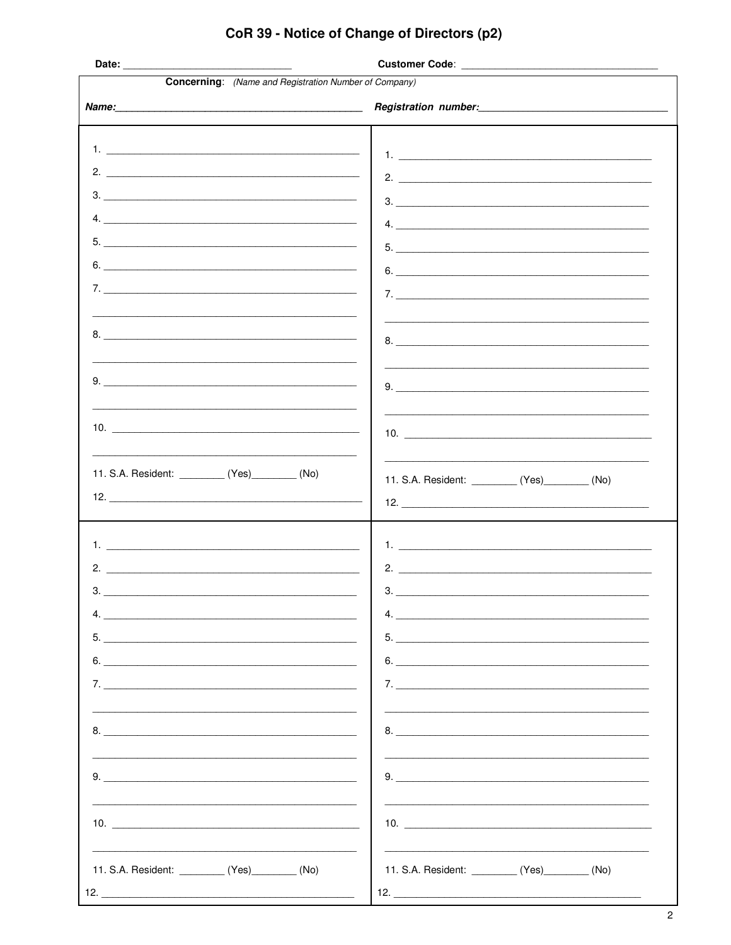| <b>Concerning:</b> (Name and Registration Number of Company)                                                                                                                                                                                                                                        |                                                                                                                                                                                                                                                                                                                                                                 |
|-----------------------------------------------------------------------------------------------------------------------------------------------------------------------------------------------------------------------------------------------------------------------------------------------------|-----------------------------------------------------------------------------------------------------------------------------------------------------------------------------------------------------------------------------------------------------------------------------------------------------------------------------------------------------------------|
|                                                                                                                                                                                                                                                                                                     | Registration number: 1999                                                                                                                                                                                                                                                                                                                                       |
|                                                                                                                                                                                                                                                                                                     |                                                                                                                                                                                                                                                                                                                                                                 |
|                                                                                                                                                                                                                                                                                                     |                                                                                                                                                                                                                                                                                                                                                                 |
| 2. $\overline{\phantom{a}}$                                                                                                                                                                                                                                                                         | $1.$ $\frac{1}{2}$ $\frac{1}{2}$ $\frac{1}{2}$ $\frac{1}{2}$ $\frac{1}{2}$ $\frac{1}{2}$ $\frac{1}{2}$ $\frac{1}{2}$ $\frac{1}{2}$ $\frac{1}{2}$ $\frac{1}{2}$ $\frac{1}{2}$ $\frac{1}{2}$ $\frac{1}{2}$ $\frac{1}{2}$ $\frac{1}{2}$ $\frac{1}{2}$ $\frac{1}{2}$ $\frac{1}{2}$ $\frac{1}{2}$ $\frac{1}{2}$ $\frac{1}{$                                          |
| $\begin{array}{c c c c c} \hline \text{3.} & \text{________} \end{array}$                                                                                                                                                                                                                           |                                                                                                                                                                                                                                                                                                                                                                 |
| 4.                                                                                                                                                                                                                                                                                                  | 3.                                                                                                                                                                                                                                                                                                                                                              |
|                                                                                                                                                                                                                                                                                                     | 4.                                                                                                                                                                                                                                                                                                                                                              |
| $5.$ $\overline{\phantom{a}}$                                                                                                                                                                                                                                                                       | 5.                                                                                                                                                                                                                                                                                                                                                              |
| 6.                                                                                                                                                                                                                                                                                                  | 6.                                                                                                                                                                                                                                                                                                                                                              |
|                                                                                                                                                                                                                                                                                                     |                                                                                                                                                                                                                                                                                                                                                                 |
|                                                                                                                                                                                                                                                                                                     |                                                                                                                                                                                                                                                                                                                                                                 |
|                                                                                                                                                                                                                                                                                                     |                                                                                                                                                                                                                                                                                                                                                                 |
|                                                                                                                                                                                                                                                                                                     |                                                                                                                                                                                                                                                                                                                                                                 |
|                                                                                                                                                                                                                                                                                                     | $9. \begin{tabular}{@{}c@{\hspace{1em}}l} \hline \rule{0.2ex}{0.2ex} \rule{0.2ex}{0.2ex} \rule{0.2ex}{0.2ex} \rule{0.2ex}{0.2ex} \rule{0.2ex}{0.2ex} \rule{0.2ex}{0.2ex} \rule{0.2ex}{0.2ex} \rule{0.2ex}{0.2ex} \rule{0.2ex}{0.2ex} \rule{0.2ex}{0.2ex} \rule{0.2ex}{0.2ex} \rule{0.2ex}{0.2ex} \rule{0.2ex}{0.2ex} \rule{0.2ex}{0.2ex} \rule{0.2ex}{0.2ex} \$ |
|                                                                                                                                                                                                                                                                                                     |                                                                                                                                                                                                                                                                                                                                                                 |
| 10. $\frac{1}{2}$ = $\frac{1}{2}$ = $\frac{1}{2}$ = $\frac{1}{2}$ = $\frac{1}{2}$ = $\frac{1}{2}$ = $\frac{1}{2}$ = $\frac{1}{2}$ = $\frac{1}{2}$ = $\frac{1}{2}$ = $\frac{1}{2}$ = $\frac{1}{2}$ = $\frac{1}{2}$ = $\frac{1}{2}$ = $\frac{1}{2}$ = $\frac{1}{2}$ = $\frac{1}{2}$ = $\frac{1}{2}$ = |                                                                                                                                                                                                                                                                                                                                                                 |
|                                                                                                                                                                                                                                                                                                     |                                                                                                                                                                                                                                                                                                                                                                 |
| 11. S.A. Resident: __________ (Yes)________ (No)                                                                                                                                                                                                                                                    |                                                                                                                                                                                                                                                                                                                                                                 |
|                                                                                                                                                                                                                                                                                                     | 11. S.A. Resident: __________ (Yes)________ (No)                                                                                                                                                                                                                                                                                                                |
|                                                                                                                                                                                                                                                                                                     |                                                                                                                                                                                                                                                                                                                                                                 |
|                                                                                                                                                                                                                                                                                                     |                                                                                                                                                                                                                                                                                                                                                                 |
|                                                                                                                                                                                                                                                                                                     | $1.$ $\frac{1}{2}$ $\frac{1}{2}$ $\frac{1}{2}$ $\frac{1}{2}$ $\frac{1}{2}$ $\frac{1}{2}$ $\frac{1}{2}$ $\frac{1}{2}$ $\frac{1}{2}$ $\frac{1}{2}$ $\frac{1}{2}$ $\frac{1}{2}$ $\frac{1}{2}$ $\frac{1}{2}$ $\frac{1}{2}$ $\frac{1}{2}$ $\frac{1}{2}$ $\frac{1}{2}$ $\frac{1}{2}$ $\frac{1}{2}$ $\frac{1}{2}$ $\frac{1}{$                                          |
|                                                                                                                                                                                                                                                                                                     |                                                                                                                                                                                                                                                                                                                                                                 |
| 3.                                                                                                                                                                                                                                                                                                  | 3.                                                                                                                                                                                                                                                                                                                                                              |
|                                                                                                                                                                                                                                                                                                     |                                                                                                                                                                                                                                                                                                                                                                 |
| 5.                                                                                                                                                                                                                                                                                                  |                                                                                                                                                                                                                                                                                                                                                                 |
|                                                                                                                                                                                                                                                                                                     | 6.                                                                                                                                                                                                                                                                                                                                                              |
|                                                                                                                                                                                                                                                                                                     |                                                                                                                                                                                                                                                                                                                                                                 |
|                                                                                                                                                                                                                                                                                                     |                                                                                                                                                                                                                                                                                                                                                                 |
| 8.                                                                                                                                                                                                                                                                                                  | 8.                                                                                                                                                                                                                                                                                                                                                              |
|                                                                                                                                                                                                                                                                                                     |                                                                                                                                                                                                                                                                                                                                                                 |
| $9. \underline{\hspace{2cm}}$                                                                                                                                                                                                                                                                       | 9.                                                                                                                                                                                                                                                                                                                                                              |
|                                                                                                                                                                                                                                                                                                     |                                                                                                                                                                                                                                                                                                                                                                 |
|                                                                                                                                                                                                                                                                                                     |                                                                                                                                                                                                                                                                                                                                                                 |
| 10. $\overline{\phantom{a}}$                                                                                                                                                                                                                                                                        | 10. $\blacksquare$                                                                                                                                                                                                                                                                                                                                              |
|                                                                                                                                                                                                                                                                                                     |                                                                                                                                                                                                                                                                                                                                                                 |
| 11. S.A. Resident: __________ (Yes)________ (No)                                                                                                                                                                                                                                                    | 11. S.A. Resident: __________ (Yes)_________ (No)                                                                                                                                                                                                                                                                                                               |
|                                                                                                                                                                                                                                                                                                     |                                                                                                                                                                                                                                                                                                                                                                 |

## CoR 39 - Notice of Change of Directors (p2)